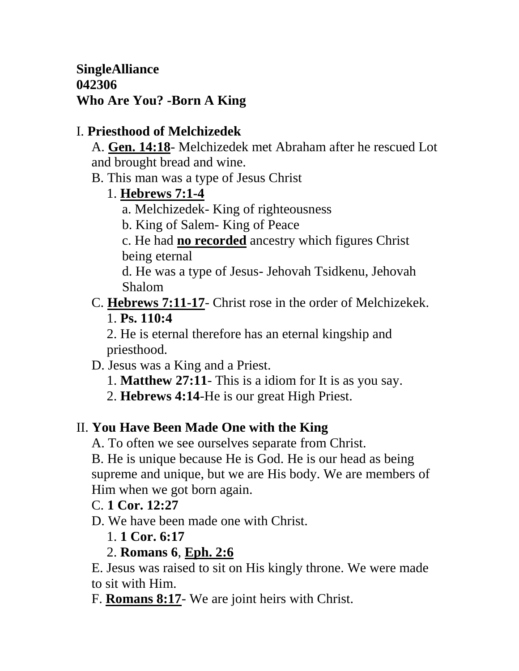#### **SingleAlliance 042306 Who Are You? -Born A King**

# I. **Priesthood of Melchizedek**

A. **Gen. 14:18**- Melchizedek met Abraham after he rescued Lot and brought bread and wine.

- B. This man was a type of Jesus Christ
	- 1. **Hebrews 7:1-4**
		- a. Melchizedek- King of righteousness
		- b. King of Salem- King of Peace
		- c. He had **no recorded** ancestry which figures Christ being eternal

d. He was a type of Jesus- Jehovah Tsidkenu, Jehovah Shalom

### C. **Hebrews 7:11-17**- Christ rose in the order of Melchizekek.

1. **Ps. 110:4**

2. He is eternal therefore has an eternal kingship and priesthood.

- D. Jesus was a King and a Priest.
	- 1. **Matthew 27:11** This is a idiom for It is as you say.
	- 2. **Hebrews 4:14**-He is our great High Priest.

## II. **You Have Been Made One with the King**

A. To often we see ourselves separate from Christ.

B. He is unique because He is God. He is our head as being supreme and unique, but we are His body. We are members of Him when we got born again.

- C. **1 Cor. 12:27**
- D. We have been made one with Christ.
	- 1. **1 Cor. 6:17**

## 2. **Romans 6**, **Eph. 2:6**

E. Jesus was raised to sit on His kingly throne. We were made to sit with Him.

F. **Romans 8:17**- We are joint heirs with Christ.